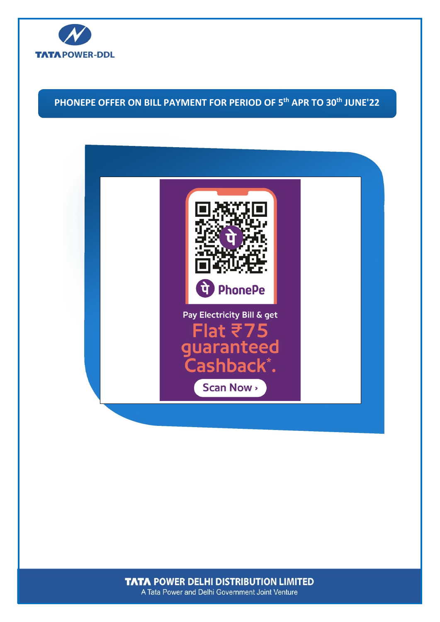

# **PHONEPE OFFER ON BILL PAYMENT FOR PERIOD OF 5 th APR TO 30th JUNE'22**



**TATA POWER DELHI DISTRIBUTION LIMITED** A Tata Power and Delhi Government Joint Venture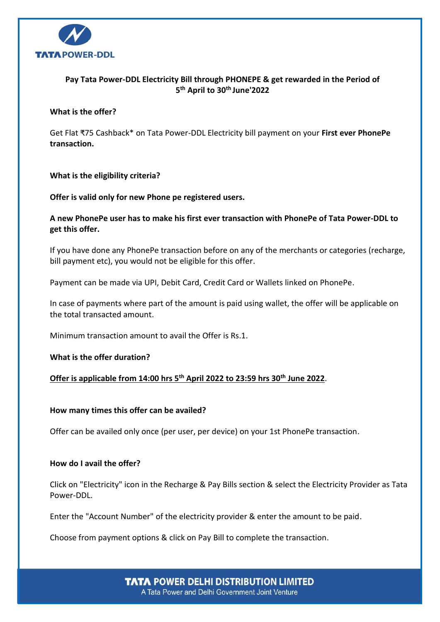

# **Pay Tata Power-DDL Electricity Bill through PHONEPE & get rewarded in the Period of 5 th April to 30th June'2022**

#### **What is the offer?**

Get Flat ₹75 Cashback\* on Tata Power-DDL Electricity bill payment on your **First ever PhonePe transaction.**

# **What is the eligibility criteria?**

**Offer is valid only for new Phone pe registered users.**

# **A new PhonePe user has to make his first ever transaction with PhonePe of Tata Power-DDL to get this offer.**

If you have done any PhonePe transaction before on any of the merchants or categories (recharge, bill payment etc), you would not be eligible for this offer.

Payment can be made via UPI, Debit Card, Credit Card or Wallets linked on PhonePe.

In case of payments where part of the amount is paid using wallet, the offer will be applicable on the total transacted amount.

Minimum transaction amount to avail the Offer is Rs.1.

**What is the offer duration?**

# **Offer is applicable from 14:00 hrs 5th April 2022 to 23:59 hrs 30th June 2022**.

#### **How many times this offer can be availed?**

Offer can be availed only once (per user, per device) on your 1st PhonePe transaction.

#### **How do I avail the offer?**

Click on "Electricity" icon in the Recharge & Pay Bills section & select the Electricity Provider as Tata Power-DDL.

Enter the "Account Number" of the electricity provider & enter the amount to be paid.

Choose from payment options & click on Pay Bill to complete the transaction.